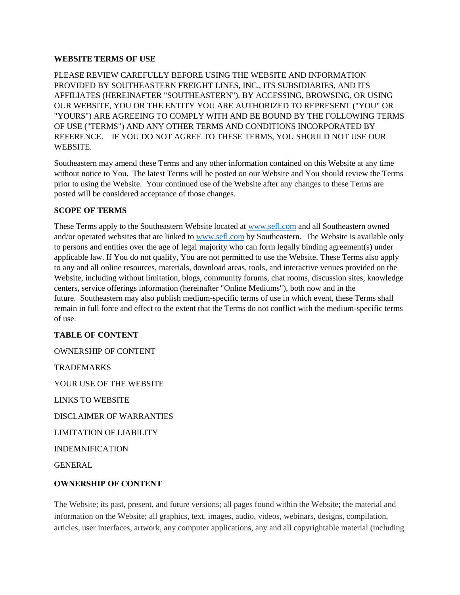#### **WEBSITE TERMS OF USE**

PLEASE REVIEW CAREFULLY BEFORE USING THE WEBSITE AND INFORMATION PROVIDED BY SOUTHEASTERN FREIGHT LINES, INC., ITS SUBSIDIARIES, AND ITS AFFILIATES (HEREINAFTER "SOUTHEASTERN"). BY ACCESSING, BROWSING, OR USING OUR WEBSITE, YOU OR THE ENTITY YOU ARE AUTHORIZED TO REPRESENT ("YOU" OR "YOURS") ARE AGREEING TO COMPLY WITH AND BE BOUND BY THE FOLLOWING TERMS OF USE ("TERMS") AND ANY OTHER TERMS AND CONDITIONS INCORPORATED BY REFERENCE. IF YOU DO NOT AGREE TO THESE TERMS, YOU SHOULD NOT USE OUR WEBSITE.

Southeastern may amend these Terms and any other information contained on this Website at any time without notice to You. The latest Terms will be posted on our Website and You should review the Terms prior to using the Website. Your continued use of the Website after any changes to these Terms are posted will be considered acceptance of those changes.

### **SCOPE OF TERMS**

These Terms apply to the Southeastern Website located at [www.sefl.com](http://www.sefl.com/) and all Southeastern owned and/or operated websites that are linked to [www.sefl.com](http://www.sefl.com/) by Southeastern. The Website is available only to persons and entities over the age of legal majority who can form legally binding agreement(s) under applicable law. If You do not qualify, You are not permitted to use the Website. These Terms also apply to any and all online resources, materials, download areas, tools, and interactive venues provided on the Website, including without limitation, blogs, community forums, chat rooms, discussion sites, knowledge centers, service offerings information (hereinafter "Online Mediums"), both now and in the future. Southeastern may also publish medium-specific terms of use in which event, these Terms shall remain in full force and effect to the extent that the Terms do not conflict with the medium-specific terms of use.

### **TABLE OF CONTENT**

OWNERSHIP OF CONTENT

**TRADEMARKS** 

YOUR USE OF THE WEBSITE

LINKS TO WEBSITE

DISCLAIMER OF WARRANTIES

LIMITATION OF LIABILITY

INDEMNIFICATION

GENERAL

### **OWNERSHIP OF CONTENT**

The Website; its past, present, and future versions; all pages found within the Website; the material and information on the Website; all graphics, text, images, audio, videos, webinars, designs, compilation, articles, user interfaces, artwork, any computer applications, any and all copyrightable material (including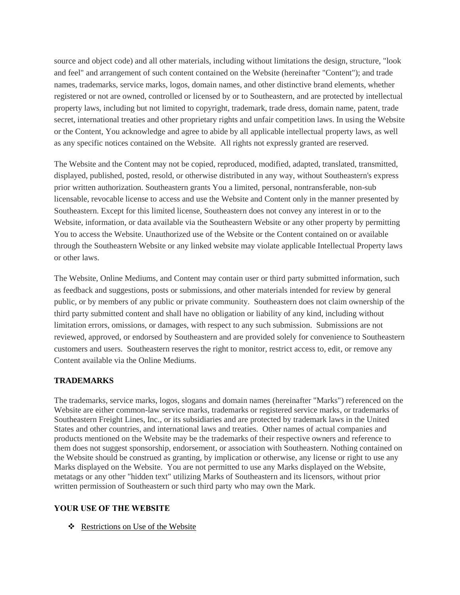source and object code) and all other materials, including without limitations the design, structure, "look and feel" and arrangement of such content contained on the Website (hereinafter "Content"); and trade names, trademarks, service marks, logos, domain names, and other distinctive brand elements, whether registered or not are owned, controlled or licensed by or to Southeastern, and are protected by intellectual property laws, including but not limited to copyright, trademark, trade dress, domain name, patent, trade secret, international treaties and other proprietary rights and unfair competition laws. In using the Website or the Content, You acknowledge and agree to abide by all applicable intellectual property laws, as well as any specific notices contained on the Website. All rights not expressly granted are reserved.

The Website and the Content may not be copied, reproduced, modified, adapted, translated, transmitted, displayed, published, posted, resold, or otherwise distributed in any way, without Southeastern's express prior written authorization. Southeastern grants You a limited, personal, nontransferable, non-sub licensable, revocable license to access and use the Website and Content only in the manner presented by Southeastern. Except for this limited license, Southeastern does not convey any interest in or to the Website, information, or data available via the Southeastern Website or any other property by permitting You to access the Website. Unauthorized use of the Website or the Content contained on or available through the Southeastern Website or any linked website may violate applicable Intellectual Property laws or other laws.

The Website, Online Mediums, and Content may contain user or third party submitted information, such as feedback and suggestions, posts or submissions, and other materials intended for review by general public, or by members of any public or private community. Southeastern does not claim ownership of the third party submitted content and shall have no obligation or liability of any kind, including without limitation errors, omissions, or damages, with respect to any such submission. Submissions are not reviewed, approved, or endorsed by Southeastern and are provided solely for convenience to Southeastern customers and users. Southeastern reserves the right to monitor, restrict access to, edit, or remove any Content available via the Online Mediums.

#### **TRADEMARKS**

The trademarks, service marks, logos, slogans and domain names (hereinafter "Marks") referenced on the Website are either common-law service marks, trademarks or registered service marks, or trademarks of Southeastern Freight Lines, Inc., or its subsidiaries and are protected by trademark laws in the United States and other countries, and international laws and treaties. Other names of actual companies and products mentioned on the Website may be the trademarks of their respective owners and reference to them does not suggest sponsorship, endorsement, or association with Southeastern. Nothing contained on the Website should be construed as granting, by implication or otherwise, any license or right to use any Marks displayed on the Website. You are not permitted to use any Marks displayed on the Website, metatags or any other "hidden text" utilizing Marks of Southeastern and its licensors, without prior written permission of Southeastern or such third party who may own the Mark.

#### **YOUR USE OF THE WEBSITE**

Restrictions on Use of the Website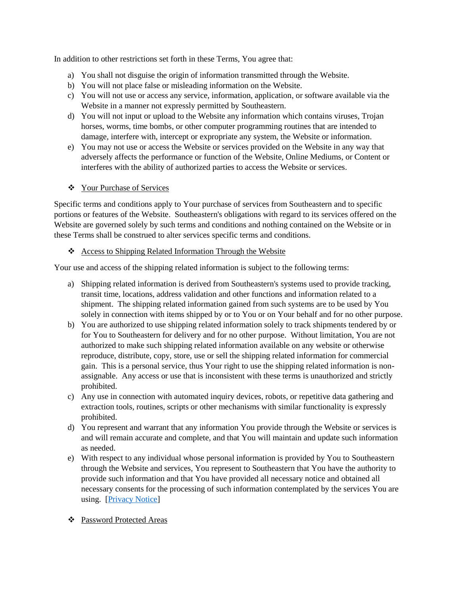In addition to other restrictions set forth in these Terms, You agree that:

- a) You shall not disguise the origin of information transmitted through the Website.
- b) You will not place false or misleading information on the Website.
- c) You will not use or access any service, information, application, or software available via the Website in a manner not expressly permitted by Southeastern.
- d) You will not input or upload to the Website any information which contains viruses, Trojan horses, worms, time bombs, or other computer programming routines that are intended to damage, interfere with, intercept or expropriate any system, the Website or information.
- e) You may not use or access the Website or services provided on the Website in any way that adversely affects the performance or function of the Website, Online Mediums, or Content or interferes with the ability of authorized parties to access the Website or services.
- Your Purchase of Services

Specific terms and conditions apply to Your purchase of services from Southeastern and to specific portions or features of the Website. Southeastern's obligations with regard to its services offered on the Website are governed solely by such terms and conditions and nothing contained on the Website or in these Terms shall be construed to alter services specific terms and conditions.

#### Access to Shipping Related Information Through the Website

Your use and access of the shipping related information is subject to the following terms:

- a) Shipping related information is derived from Southeastern's systems used to provide tracking, transit time, locations, address validation and other functions and information related to a shipment. The shipping related information gained from such systems are to be used by You solely in connection with items shipped by or to You or on Your behalf and for no other purpose.
- b) You are authorized to use shipping related information solely to track shipments tendered by or for You to Southeastern for delivery and for no other purpose. Without limitation, You are not authorized to make such shipping related information available on any website or otherwise reproduce, distribute, copy, store, use or sell the shipping related information for commercial gain. This is a personal service, thus Your right to use the shipping related information is nonassignable. Any access or use that is inconsistent with these terms is unauthorized and strictly prohibited.
- c) Any use in connection with automated inquiry devices, robots, or repetitive data gathering and extraction tools, routines, scripts or other mechanisms with similar functionality is expressly prohibited.
- d) You represent and warrant that any information You provide through the Website or services is and will remain accurate and complete, and that You will maintain and update such information as needed.
- e) With respect to any individual whose personal information is provided by You to Southeastern through the Website and services, You represent to Southeastern that You have the authority to provide such information and that You have provided all necessary notice and obtained all necessary consents for the processing of such information contemplated by the services You are using. [\[Privacy Notice\]](https://www.sefl.com/vspdfdocs/SEFLPrivacyNotice.pdf)
- Password Protected Areas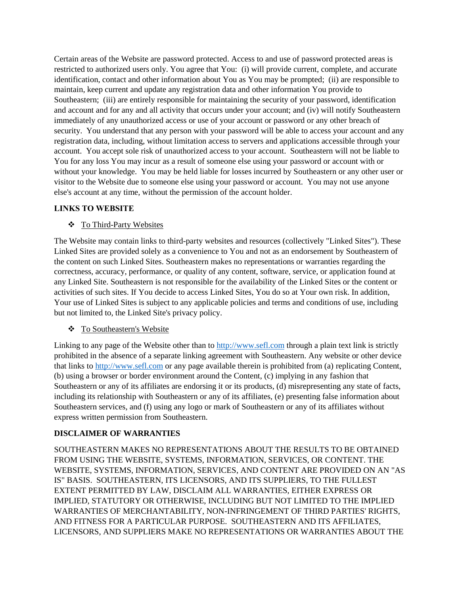Certain areas of the Website are password protected. Access to and use of password protected areas is restricted to authorized users only. You agree that You: (i) will provide current, complete, and accurate identification, contact and other information about You as You may be prompted; (ii) are responsible to maintain, keep current and update any registration data and other information You provide to Southeastern; (iii) are entirely responsible for maintaining the security of your password, identification and account and for any and all activity that occurs under your account; and (iv) will notify Southeastern immediately of any unauthorized access or use of your account or password or any other breach of security. You understand that any person with your password will be able to access your account and any registration data, including, without limitation access to servers and applications accessible through your account. You accept sole risk of unauthorized access to your account. Southeastern will not be liable to You for any loss You may incur as a result of someone else using your password or account with or without your knowledge. You may be held liable for losses incurred by Southeastern or any other user or visitor to the Website due to someone else using your password or account. You may not use anyone else's account at any time, without the permission of the account holder.

### **LINKS TO WEBSITE**

#### **❖** To Third-Party Websites

The Website may contain links to third-party websites and resources (collectively "Linked Sites"). These Linked Sites are provided solely as a convenience to You and not as an endorsement by Southeastern of the content on such Linked Sites. Southeastern makes no representations or warranties regarding the correctness, accuracy, performance, or quality of any content, software, service, or application found at any Linked Site. Southeastern is not responsible for the availability of the Linked Sites or the content or activities of such sites. If You decide to access Linked Sites, You do so at Your own risk. In addition, Your use of Linked Sites is subject to any applicable policies and terms and conditions of use, including but not limited to, the Linked Site's privacy policy.

#### To Southeastern's Website

Linking to any page of the Website other than to [http://www.sefl.com](http://www.sefl.com/) through a plain text link is strictly prohibited in the absence of a separate linking agreement with Southeastern. Any website or other device that links t[o http://www.sefl.com](http://www.sefl.com/) or any page available therein is prohibited from (a) replicating Content, (b) using a browser or border environment around the Content, (c) implying in any fashion that Southeastern or any of its affiliates are endorsing it or its products, (d) misrepresenting any state of facts, including its relationship with Southeastern or any of its affiliates, (e) presenting false information about Southeastern services, and (f) using any logo or mark of Southeastern or any of its affiliates without express written permission from Southeastern.

### **DISCLAIMER OF WARRANTIES**

SOUTHEASTERN MAKES NO REPRESENTATIONS ABOUT THE RESULTS TO BE OBTAINED FROM USING THE WEBSITE, SYSTEMS, INFORMATION, SERVICES, OR CONTENT. THE WEBSITE, SYSTEMS, INFORMATION, SERVICES, AND CONTENT ARE PROVIDED ON AN "AS IS" BASIS. SOUTHEASTERN, ITS LICENSORS, AND ITS SUPPLIERS, TO THE FULLEST EXTENT PERMITTED BY LAW, DISCLAIM ALL WARRANTIES, EITHER EXPRESS OR IMPLIED, STATUTORY OR OTHERWISE, INCLUDING BUT NOT LIMITED TO THE IMPLIED WARRANTIES OF MERCHANTABILITY, NON-INFRINGEMENT OF THIRD PARTIES' RIGHTS, AND FITNESS FOR A PARTICULAR PURPOSE. SOUTHEASTERN AND ITS AFFILIATES, LICENSORS, AND SUPPLIERS MAKE NO REPRESENTATIONS OR WARRANTIES ABOUT THE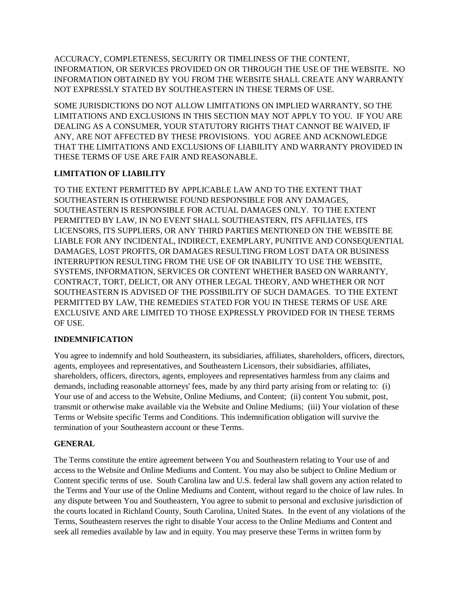ACCURACY, COMPLETENESS, SECURITY OR TIMELINESS OF THE CONTENT, INFORMATION, OR SERVICES PROVIDED ON OR THROUGH THE USE OF THE WEBSITE. NO INFORMATION OBTAINED BY YOU FROM THE WEBSITE SHALL CREATE ANY WARRANTY NOT EXPRESSLY STATED BY SOUTHEASTERN IN THESE TERMS OF USE.

SOME JURISDICTIONS DO NOT ALLOW LIMITATIONS ON IMPLIED WARRANTY, SO THE LIMITATIONS AND EXCLUSIONS IN THIS SECTION MAY NOT APPLY TO YOU. IF YOU ARE DEALING AS A CONSUMER, YOUR STATUTORY RIGHTS THAT CANNOT BE WAIVED, IF ANY, ARE NOT AFFECTED BY THESE PROVISIONS. YOU AGREE AND ACKNOWLEDGE THAT THE LIMITATIONS AND EXCLUSIONS OF LIABILITY AND WARRANTY PROVIDED IN THESE TERMS OF USE ARE FAIR AND REASONABLE.

## **LIMITATION OF LIABILITY**

TO THE EXTENT PERMITTED BY APPLICABLE LAW AND TO THE EXTENT THAT SOUTHEASTERN IS OTHERWISE FOUND RESPONSIBLE FOR ANY DAMAGES, SOUTHEASTERN IS RESPONSIBLE FOR ACTUAL DAMAGES ONLY. TO THE EXTENT PERMITTED BY LAW, IN NO EVENT SHALL SOUTHEASTERN, ITS AFFILIATES, ITS LICENSORS, ITS SUPPLIERS, OR ANY THIRD PARTIES MENTIONED ON THE WEBSITE BE LIABLE FOR ANY INCIDENTAL, INDIRECT, EXEMPLARY, PUNITIVE AND CONSEQUENTIAL DAMAGES, LOST PROFITS, OR DAMAGES RESULTING FROM LOST DATA OR BUSINESS INTERRUPTION RESULTING FROM THE USE OF OR INABILITY TO USE THE WEBSITE, SYSTEMS, INFORMATION, SERVICES OR CONTENT WHETHER BASED ON WARRANTY, CONTRACT, TORT, DELICT, OR ANY OTHER LEGAL THEORY, AND WHETHER OR NOT SOUTHEASTERN IS ADVISED OF THE POSSIBILITY OF SUCH DAMAGES. TO THE EXTENT PERMITTED BY LAW, THE REMEDIES STATED FOR YOU IN THESE TERMS OF USE ARE EXCLUSIVE AND ARE LIMITED TO THOSE EXPRESSLY PROVIDED FOR IN THESE TERMS OF USE.

## **INDEMNIFICATION**

You agree to indemnify and hold Southeastern, its subsidiaries, affiliates, shareholders, officers, directors, agents, employees and representatives, and Southeastern Licensors, their subsidiaries, affiliates, shareholders, officers, directors, agents, employees and representatives harmless from any claims and demands, including reasonable attorneys' fees, made by any third party arising from or relating to: (i) Your use of and access to the Website, Online Mediums, and Content; (ii) content You submit, post, transmit or otherwise make available via the Website and Online Mediums; (iii) Your violation of these Terms or Website specific Terms and Conditions. This indemnification obligation will survive the termination of your Southeastern account or these Terms.

### **GENERAL**

The Terms constitute the entire agreement between You and Southeastern relating to Your use of and access to the Website and Online Mediums and Content. You may also be subject to Online Medium or Content specific terms of use. South Carolina law and U.S. federal law shall govern any action related to the Terms and Your use of the Online Mediums and Content, without regard to the choice of law rules. In any dispute between You and Southeastern, You agree to submit to personal and exclusive jurisdiction of the courts located in Richland County, South Carolina, United States. In the event of any violations of the Terms, Southeastern reserves the right to disable Your access to the Online Mediums and Content and seek all remedies available by law and in equity. You may preserve these Terms in written form by